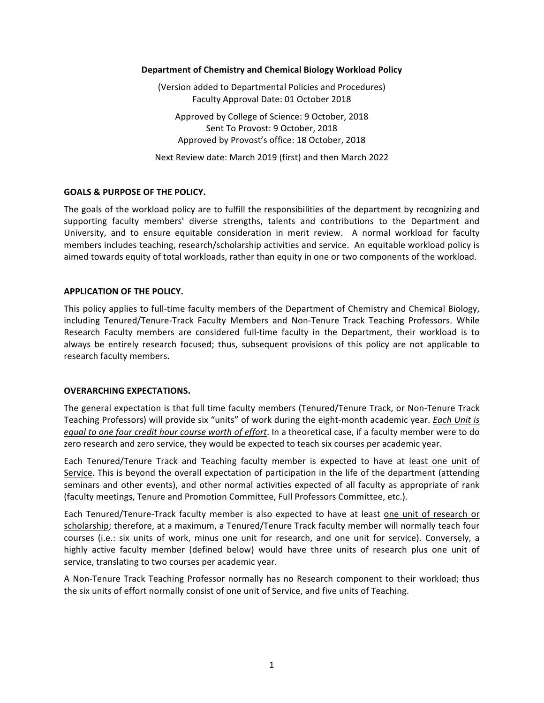#### **Department of Chemistry and Chemical Biology Workload Policy**

(Version added to Departmental Policies and Procedures) Faculty Approval Date: 01 October 2018

Approved by College of Science: 9 October, 2018 Sent To Provost: 9 October, 2018 Approved by Provost's office: 18 October, 2018

Next Review date: March 2019 (first) and then March 2022

# **GOALS & PURPOSE OF THE POLICY.**

The goals of the workload policy are to fulfill the responsibilities of the department by recognizing and supporting faculty members' diverse strengths, talents and contributions to the Department and University, and to ensure equitable consideration in merit review. A normal workload for faculty members includes teaching, research/scholarship activities and service. An equitable workload policy is aimed towards equity of total workloads, rather than equity in one or two components of the workload.

### **APPLICATION OF THE POLICY.**

This policy applies to full-time faculty members of the Department of Chemistry and Chemical Biology, including Tenured/Tenure-Track Faculty Members and Non-Tenure Track Teaching Professors. While Research Faculty members are considered full-time faculty in the Department, their workload is to always be entirely research focused; thus, subsequent provisions of this policy are not applicable to research faculty members.

# **OVERARCHING EXPECTATIONS.**

The general expectation is that full time faculty members (Tenured/Tenure Track, or Non-Tenure Track Teaching Professors) will provide six "units" of work during the eight-month academic year. *Each Unit is equal* to one four credit hour course worth of effort. In a theoretical case, if a faculty member were to do zero research and zero service, they would be expected to teach six courses per academic year.

Each Tenured/Tenure Track and Teaching faculty member is expected to have at least one unit of Service. This is beyond the overall expectation of participation in the life of the department (attending seminars and other events), and other normal activities expected of all faculty as appropriate of rank (faculty meetings, Tenure and Promotion Committee, Full Professors Committee, etc.).

Each Tenured/Tenure-Track faculty member is also expected to have at least one unit of research or scholarship; therefore, at a maximum, a Tenured/Tenure Track faculty member will normally teach four courses (i.e.: six units of work, minus one unit for research, and one unit for service). Conversely, a highly active faculty member (defined below) would have three units of research plus one unit of service, translating to two courses per academic year.

A Non-Tenure Track Teaching Professor normally has no Research component to their workload; thus the six units of effort normally consist of one unit of Service, and five units of Teaching.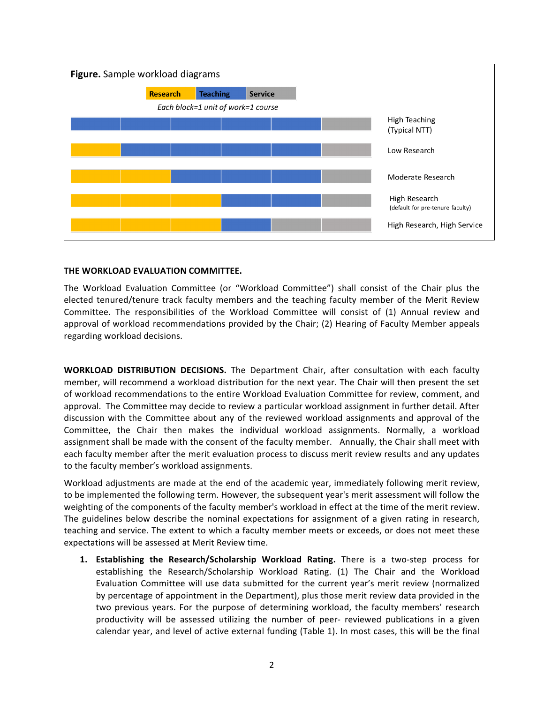

### **THE WORKLOAD EVALUATION COMMITTEE.**

The Workload Evaluation Committee (or "Workload Committee") shall consist of the Chair plus the elected tenured/tenure track faculty members and the teaching faculty member of the Merit Review Committee. The responsibilities of the Workload Committee will consist of (1) Annual review and approval of workload recommendations provided by the Chair; (2) Hearing of Faculty Member appeals regarding workload decisions.

**WORKLOAD DISTRIBUTION DECISIONS.** The Department Chair, after consultation with each faculty member, will recommend a workload distribution for the next year. The Chair will then present the set of workload recommendations to the entire Workload Evaluation Committee for review, comment, and approval. The Committee may decide to review a particular workload assignment in further detail. After discussion with the Committee about any of the reviewed workload assignments and approval of the Committee, the Chair then makes the individual workload assignments. Normally, a workload assignment shall be made with the consent of the faculty member. Annually, the Chair shall meet with each faculty member after the merit evaluation process to discuss merit review results and any updates to the faculty member's workload assignments.

Workload adjustments are made at the end of the academic year, immediately following merit review, to be implemented the following term. However, the subsequent year's merit assessment will follow the weighting of the components of the faculty member's workload in effect at the time of the merit review. The guidelines below describe the nominal expectations for assignment of a given rating in research, teaching and service. The extent to which a faculty member meets or exceeds, or does not meet these expectations will be assessed at Merit Review time.

**1. Establishing the Research/Scholarship Workload Rating.** There is a two-step process for establishing the Research/Scholarship Workload Rating. (1) The Chair and the Workload Evaluation Committee will use data submitted for the current year's merit review (normalized by percentage of appointment in the Department), plus those merit review data provided in the two previous years. For the purpose of determining workload, the faculty members' research productivity will be assessed utilizing the number of peer- reviewed publications in a given calendar year, and level of active external funding (Table 1). In most cases, this will be the final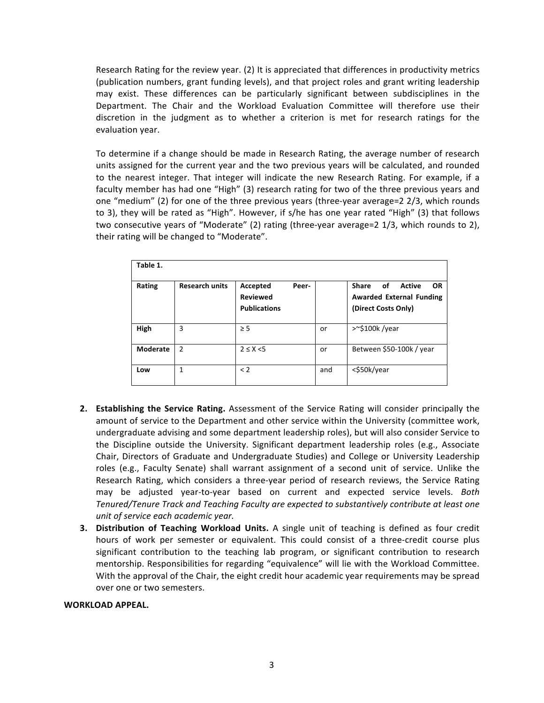Research Rating for the review year.  $(2)$  It is appreciated that differences in productivity metrics (publication numbers, grant funding levels), and that project roles and grant writing leadership may exist. These differences can be particularly significant between subdisciplines in the Department. The Chair and the Workload Evaluation Committee will therefore use their discretion in the judgment as to whether a criterion is met for research ratings for the evaluation year.

To determine if a change should be made in Research Rating, the average number of research units assigned for the current year and the two previous years will be calculated, and rounded to the nearest integer. That integer will indicate the new Research Rating. For example, if a faculty member has had one "High" (3) research rating for two of the three previous years and one "medium" (2) for one of the three previous years (three-year average=2  $2/3$ , which rounds to 3), they will be rated as "High". However, if s/he has one year rated "High" (3) that follows two consecutive years of "Moderate" (2) rating (three-year average=2  $1/3$ , which rounds to 2), their rating will be changed to "Moderate".

| Table 1. |                       |                                                             |     |                                                                                                     |
|----------|-----------------------|-------------------------------------------------------------|-----|-----------------------------------------------------------------------------------------------------|
| Rating   | <b>Research units</b> | Accepted<br>Peer-<br><b>Reviewed</b><br><b>Publications</b> |     | <b>Share</b><br>οf<br>Active<br><b>OR</b><br><b>Awarded External Funding</b><br>(Direct Costs Only) |
| High     | 3                     | $\geq 5$                                                    | or  | >~\$100k/year                                                                                       |
| Moderate | 2                     | $2 \leq X \leq 5$                                           | or  | Between \$50-100k / year                                                                            |
| Low      | 1                     | < 2                                                         | and | <\$50k/year                                                                                         |

- **2. Establishing the Service Rating.** Assessment of the Service Rating will consider principally the amount of service to the Department and other service within the University (committee work, undergraduate advising and some department leadership roles), but will also consider Service to the Discipline outside the University. Significant department leadership roles (e.g., Associate Chair, Directors of Graduate and Undergraduate Studies) and College or University Leadership roles (e.g., Faculty Senate) shall warrant assignment of a second unit of service. Unlike the Research Rating, which considers a three-year period of research reviews, the Service Rating may be adjusted year-to-year based on current and expected service levels. Both Tenured/Tenure Track and Teaching Faculty are expected to substantively contribute at least one *unit of service each academic year.*
- **3.** Distribution of Teaching Workload Units. A single unit of teaching is defined as four credit hours of work per semester or equivalent. This could consist of a three-credit course plus significant contribution to the teaching lab program, or significant contribution to research mentorship. Responsibilities for regarding "equivalence" will lie with the Workload Committee. With the approval of the Chair, the eight credit hour academic year requirements may be spread over one or two semesters.

#### WORKLOAD APPEAL.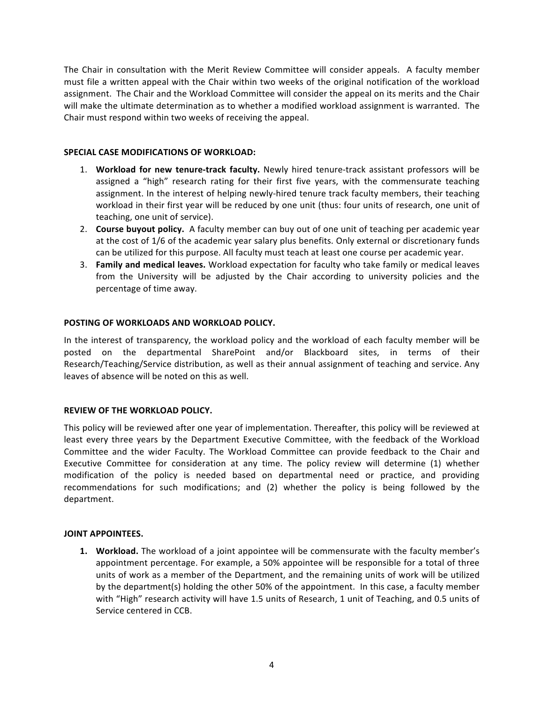The Chair in consultation with the Merit Review Committee will consider appeals. A faculty member must file a written appeal with the Chair within two weeks of the original notification of the workload assignment. The Chair and the Workload Committee will consider the appeal on its merits and the Chair will make the ultimate determination as to whether a modified workload assignment is warranted. The Chair must respond within two weeks of receiving the appeal.

# **SPECIAL CASE MODIFICATIONS OF WORKLOAD:**

- 1. Workload for new tenure-track faculty. Newly hired tenure-track assistant professors will be assigned a "high" research rating for their first five years, with the commensurate teaching assignment. In the interest of helping newly-hired tenure track faculty members, their teaching workload in their first year will be reduced by one unit (thus: four units of research, one unit of teaching, one unit of service).
- 2. **Course buyout policy.** A faculty member can buy out of one unit of teaching per academic year at the cost of 1/6 of the academic year salary plus benefits. Only external or discretionary funds can be utilized for this purpose. All faculty must teach at least one course per academic year.
- 3. **Family and medical leaves.** Workload expectation for faculty who take family or medical leaves from the University will be adjusted by the Chair according to university policies and the percentage of time away.

### **POSTING OF WORKLOADS AND WORKLOAD POLICY.**

In the interest of transparency, the workload policy and the workload of each faculty member will be posted on the departmental SharePoint and/or Blackboard sites, in terms of their Research/Teaching/Service distribution, as well as their annual assignment of teaching and service. Any leaves of absence will be noted on this as well.

# **REVIEW OF THE WORKLOAD POLICY.**

This policy will be reviewed after one year of implementation. Thereafter, this policy will be reviewed at least every three years by the Department Executive Committee, with the feedback of the Workload Committee and the wider Faculty. The Workload Committee can provide feedback to the Chair and Executive Committee for consideration at any time. The policy review will determine (1) whether modification of the policy is needed based on departmental need or practice, and providing recommendations for such modifications; and (2) whether the policy is being followed by the department.

#### **JOINT APPOINTEES.**

**1.** Workload. The workload of a joint appointee will be commensurate with the faculty member's appointment percentage. For example, a 50% appointee will be responsible for a total of three units of work as a member of the Department, and the remaining units of work will be utilized by the department(s) holding the other 50% of the appointment. In this case, a faculty member with "High" research activity will have 1.5 units of Research, 1 unit of Teaching, and 0.5 units of Service centered in CCB.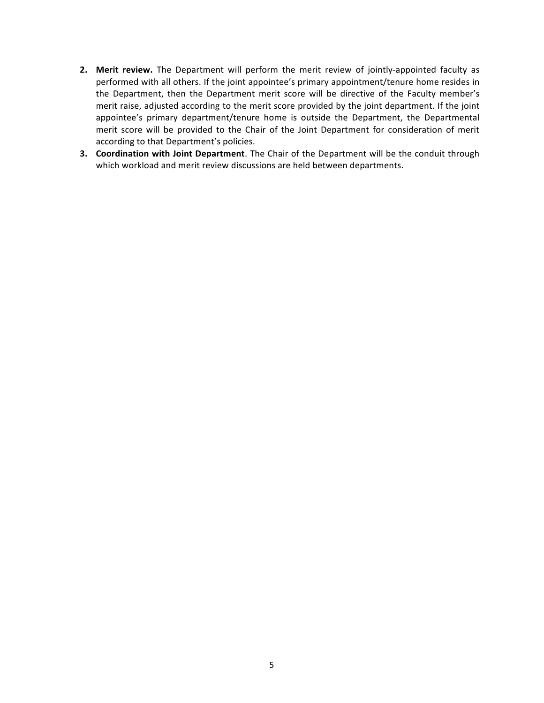- **2.** Merit review. The Department will perform the merit review of jointly-appointed faculty as performed with all others. If the joint appointee's primary appointment/tenure home resides in the Department, then the Department merit score will be directive of the Faculty member's merit raise, adjusted according to the merit score provided by the joint department. If the joint appointee's primary department/tenure home is outside the Department, the Departmental merit score will be provided to the Chair of the Joint Department for consideration of merit according to that Department's policies.
- **3. Coordination with Joint Department**. The Chair of the Department will be the conduit through which workload and merit review discussions are held between departments.